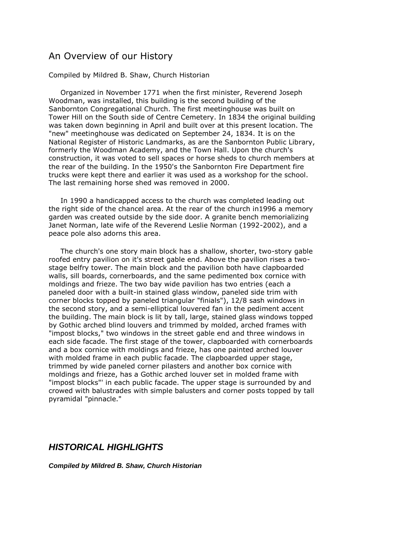## An Overview of our History

## Compiled by Mildred B. Shaw, Church Historian

 Organized in November 1771 when the first minister, Reverend Joseph Woodman, was installed, this building is the second building of the Sanbornton Congregational Church. The first meetinghouse was built on Tower Hill on the South side of Centre Cemetery. In 1834 the original building was taken down beginning in April and built over at this present location. The "new" meetinghouse was dedicated on September 24, 1834. It is on the National Register of Historic Landmarks, as are the Sanbornton Public Library, formerly the Woodman Academy, and the Town Hall. Upon the church's construction, it was voted to sell spaces or horse sheds to church members at the rear of the building. In the 1950's the Sanbornton Fire Department fire trucks were kept there and earlier it was used as a workshop for the school. The last remaining horse shed was removed in 2000.

 In 1990 a handicapped access to the church was completed leading out the right side of the chancel area. At the rear of the church in1996 a memory garden was created outside by the side door. A granite bench memorializing Janet Norman, late wife of the Reverend Leslie Norman (1992-2002), and a peace pole also adorns this area.

 The church's one story main block has a shallow, shorter, two-story gable roofed entry pavilion on it's street gable end. Above the pavilion rises a twostage belfry tower. The main block and the pavilion both have clapboarded walls, sill boards, cornerboards, and the same pedimented box cornice with moldings and frieze. The two bay wide pavilion has two entries (each a paneled door with a built-in stained glass window, paneled side trim with corner blocks topped by paneled triangular "finials"), 12/8 sash windows in the second story, and a semi-elliptical louvered fan in the pediment accent the building. The main block is lit by tall, large, stained glass windows topped by Gothic arched blind louvers and trimmed by molded, arched frames with "impost blocks," two windows in the street gable end and three windows in each side facade. The first stage of the tower, clapboarded with cornerboards and a box cornice with moldings and frieze, has one painted arched louver with molded frame in each public facade. The clapboarded upper stage, trimmed by wide paneled corner pilasters and another box cornice with moldings and frieze, has a Gothic arched louver set in molded frame with "impost blocks"' in each public facade. The upper stage is surrounded by and crowed with balustrades with simple balusters and corner posts topped by tall pyramidal "pinnacle."

## *HISTORICAL HIGHLIGHTS*

*Compiled by Mildred B. Shaw, Church Historian*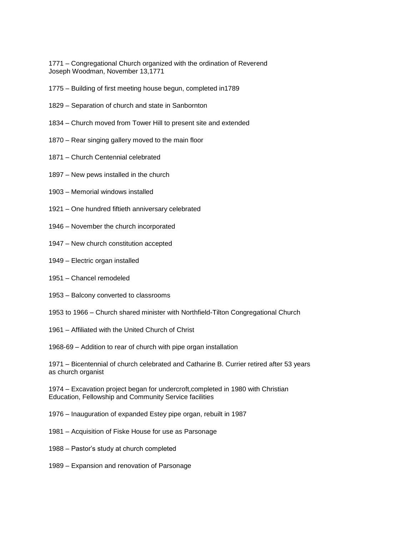1771 – Congregational Church organized with the ordination of Reverend Joseph Woodman, November 13,1771

- 1775 Building of first meeting house begun, completed in1789
- 1829 Separation of church and state in Sanbornton
- 1834 Church moved from Tower Hill to present site and extended
- 1870 Rear singing gallery moved to the main floor
- 1871 Church Centennial celebrated
- 1897 New pews installed in the church
- 1903 Memorial windows installed
- 1921 One hundred fiftieth anniversary celebrated
- 1946 November the church incorporated
- 1947 New church constitution accepted
- 1949 Electric organ installed
- 1951 Chancel remodeled
- 1953 Balcony converted to classrooms
- 1953 to 1966 Church shared minister with Northfield-Tilton Congregational Church
- 1961 Affiliated with the United Church of Christ

1968-69 – Addition to rear of church with pipe organ installation

1971 – Bicentennial of church celebrated and Catharine B. Currier retired after 53 years as church organist

1974 – Excavation project began for undercroft,completed in 1980 with Christian Education, Fellowship and Community Service facilities

1976 – Inauguration of expanded Estey pipe organ, rebuilt in 1987

- 1981 Acquisition of Fiske House for use as Parsonage
- 1988 Pastor's study at church completed
- 1989 Expansion and renovation of Parsonage